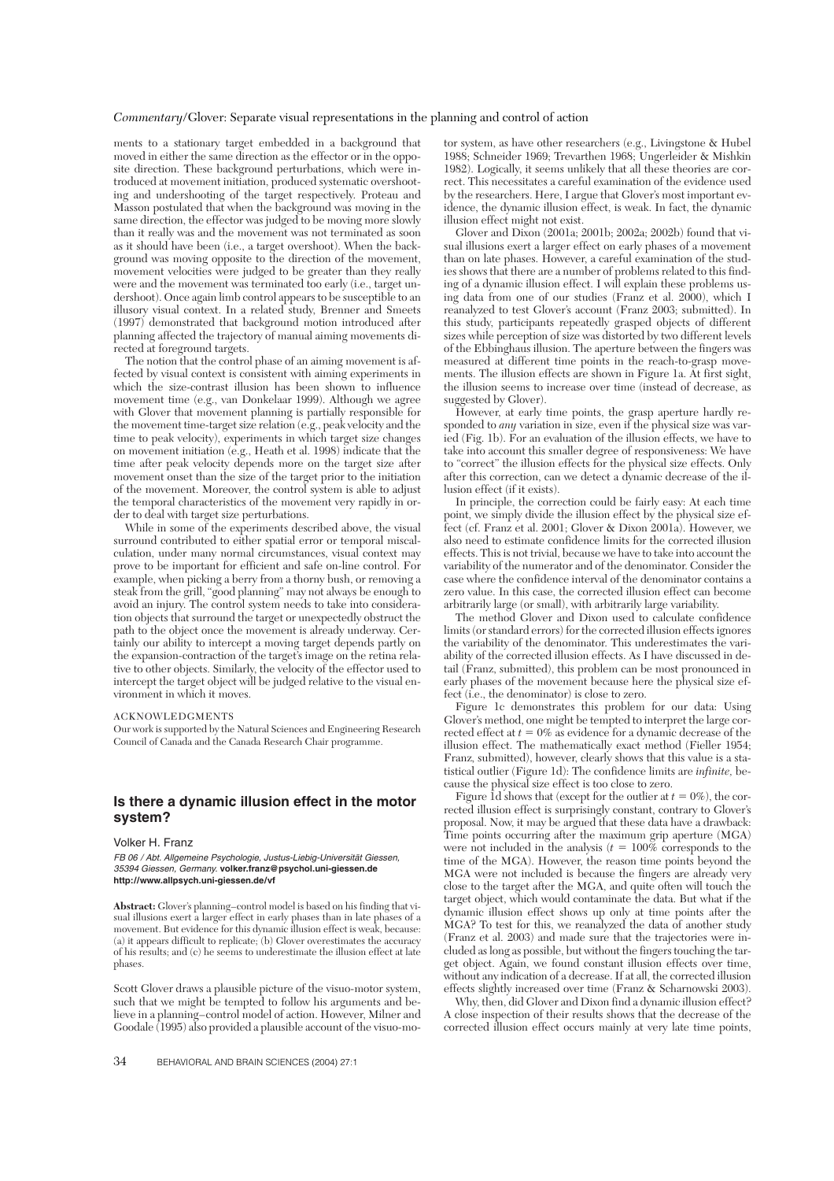### *Commentary*/Glover: Separate visual representations in the planning and control of action

ments to a stationary target embedded in a background that moved in either the same direction as the effector or in the opposite direction. These background perturbations, which were introduced at movement initiation, produced systematic overshooting and undershooting of the target respectively. Proteau and Masson postulated that when the background was moving in the same direction, the effector was judged to be moving more slowly than it really was and the movement was not terminated as soon as it should have been (i.e., a target overshoot). When the background was moving opposite to the direction of the movement, movement velocities were judged to be greater than they really were and the movement was terminated too early (i.e., target undershoot). Once again limb control appears to be susceptible to an illusory visual context. In a related study, Brenner and Smeets (1997) demonstrated that background motion introduced after planning affected the trajectory of manual aiming movements directed at foreground targets.

The notion that the control phase of an aiming movement is affected by visual context is consistent with aiming experiments in which the size-contrast illusion has been shown to influence movement time (e.g., van Donkelaar 1999). Although we agree with Glover that movement planning is partially responsible for the movement time-target size relation (e.g., peak velocity and the time to peak velocity), experiments in which target size changes on movement initiation (e.g., Heath et al. 1998) indicate that the time after peak velocity depends more on the target size after movement onset than the size of the target prior to the initiation of the movement. Moreover, the control system is able to adjust the temporal characteristics of the movement very rapidly in order to deal with target size perturbations.

While in some of the experiments described above, the visual surround contributed to either spatial error or temporal miscalculation, under many normal circumstances, visual context may prove to be important for efficient and safe on-line control. For example, when picking a berry from a thorny bush, or removing a steak from the grill, "good planning" may not always be enough to avoid an injury. The control system needs to take into consideration objects that surround the target or unexpectedly obstruct the path to the object once the movement is already underway. Certainly our ability to intercept a moving target depends partly on the expansion-contraction of the target's image on the retina relative to other objects. Similarly, the velocity of the effector used to intercept the target object will be judged relative to the visual environment in which it moves.

### ACKNOWLEDGMENTS

Our work is supported by the Natural Sciences and Engineering Research Council of Canada and the Canada Research Chair programme.

# **Is there a dynamic illusion effect in the motor system?**

#### Volker H. Franz

FB 06 / Abt. Allgemeine Psychologie, Justus-Liebig-Universität Giessen, 35394 Giessen, Germany. **volker.franz@psychol.uni-giessen.de http://www.allpsych.uni-giessen.de/vf**

**Abstract:** Glover's planning–control model is based on his finding that visual illusions exert a larger effect in early phases than in late phases of a movement. But evidence for this dynamic illusion effect is weak, because: (a) it appears difficult to replicate; (b) Glover overestimates the accuracy of his results; and (c) he seems to underestimate the illusion effect at late phases.

Scott Glover draws a plausible picture of the visuo-motor system, such that we might be tempted to follow his arguments and believe in a planning–control model of action. However, Milner and Goodale (1995) also provided a plausible account of the visuo-mo-

tor system, as have other researchers (e.g., Livingstone & Hubel 1988; Schneider 1969; Trevarthen 1968; Ungerleider & Mishkin 1982). Logically, it seems unlikely that all these theories are correct. This necessitates a careful examination of the evidence used by the researchers. Here, I argue that Glover's most important evidence, the dynamic illusion effect, is weak. In fact, the dynamic illusion effect might not exist.

Glover and Dixon (2001a; 2001b; 2002a; 2002b) found that visual illusions exert a larger effect on early phases of a movement than on late phases. However, a careful examination of the studies shows that there are a number of problems related to this finding of a dynamic illusion effect. I will explain these problems using data from one of our studies (Franz et al. 2000), which I reanalyzed to test Glover's account (Franz 2003; submitted). In this study, participants repeatedly grasped objects of different sizes while perception of size was distorted by two different levels of the Ebbinghaus illusion. The aperture between the fingers was measured at different time points in the reach-to-grasp movements. The illusion effects are shown in Figure 1a. At first sight, the illusion seems to increase over time (instead of decrease, as suggested by Glover).

However, at early time points, the grasp aperture hardly responded to *any* variation in size, even if the physical size was varied (Fig. 1b). For an evaluation of the illusion effects, we have to take into account this smaller degree of responsiveness: We have to "correct" the illusion effects for the physical size effects. Only after this correction, can we detect a dynamic decrease of the illusion effect (if it exists).

In principle, the correction could be fairly easy: At each time point, we simply divide the illusion effect by the physical size effect (cf. Franz et al. 2001; Glover & Dixon 2001a). However, we also need to estimate confidence limits for the corrected illusion effects. This is not trivial, because we have to take into account the variability of the numerator and of the denominator. Consider the case where the confidence interval of the denominator contains a zero value. In this case, the corrected illusion effect can become arbitrarily large (or small), with arbitrarily large variability.

The method Glover and Dixon used to calculate confidence limits (or standard errors) for the corrected illusion effects ignores the variability of the denominator. This underestimates the variability of the corrected illusion effects. As I have discussed in detail (Franz, submitted), this problem can be most pronounced in early phases of the movement because here the physical size effect (i.e., the denominator) is close to zero.

Figure 1c demonstrates this problem for our data: Using Glover's method, one might be tempted to interpret the large corrected effect at  $t = 0\%$  as evidence for a dynamic decrease of the illusion effect. The mathematically exact method (Fieller 1954; Franz, submitted), however, clearly shows that this value is a statistical outlier (Figure 1d): The confidence limits are *infinite,* because the physical size effect is too close to zero.

Figure  $\hat{1}d$  shows that (except for the outlier at  $t = 0\%$ ), the corrected illusion effect is surprisingly constant, contrary to Glover's proposal. Now, it may be argued that these data have a drawback: Time points occurring after the maximum grip aperture (MGA) were not included in the analysis  $(t = 100\%$  corresponds to the time of the MGA). However, the reason time points beyond the MGA were not included is because the fingers are already very close to the target after the MGA, and quite often will touch the target object, which would contaminate the data. But what if the dynamic illusion effect shows up only at time points after the MGA? To test for this, we reanalyzed the data of another study (Franz et al. 2003) and made sure that the trajectories were included as long as possible, but without the fingers touching the target object. Again, we found constant illusion effects over time, without any indication of a decrease. If at all, the corrected illusion effects slightly increased over time (Franz & Scharnowski 2003).

Why, then, did Glover and Dixon find a dynamic illusion effect? A close inspection of their results shows that the decrease of the corrected illusion effect occurs mainly at very late time points,